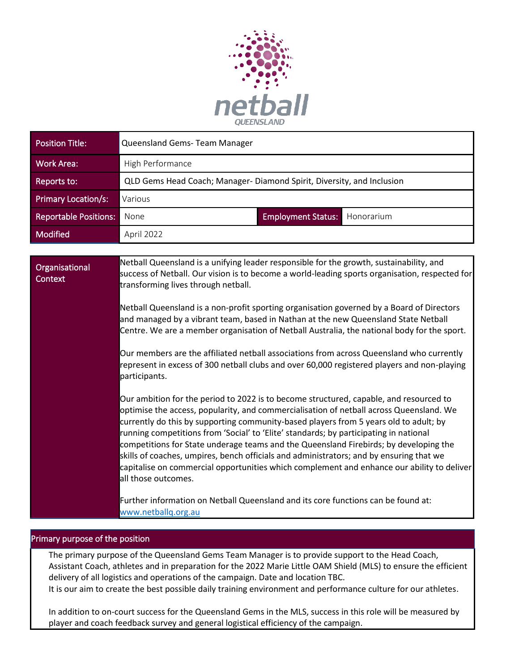

| Position Title:              | Queensland Gems-Team Manager                                          |                                         |
|------------------------------|-----------------------------------------------------------------------|-----------------------------------------|
| Work Area:                   | High Performance                                                      |                                         |
| Reports to:                  | QLD Gems Head Coach; Manager-Diamond Spirit, Diversity, and Inclusion |                                         |
| <b>Primary Location/s:</b>   | Various                                                               |                                         |
| <b>Reportable Positions:</b> | None                                                                  | <b>Employment Status:</b><br>Honorarium |
| Modified                     | April 2022                                                            |                                         |

**Organisational Context** Netball Queensland is a unifying leader responsible for the growth, sustainability, and success of Netball. Our vision is to become a world-leading sports organisation, respected for transforming lives through netball. Netball Queensland is a non-profit sporting organisation governed by a Board of Directors and managed by a vibrant team, based in Nathan at the new Queensland State Netball Centre. We are a member organisation of Netball Australia, the national body for the sport. Our members are the affiliated netball associations from across Queensland who currently represent in excess of 300 netball clubs and over 60,000 registered players and non-playing participants. Our ambition for the period to 2022 is to become structured, capable, and resourced to optimise the access, popularity, and commercialisation of netball across Queensland. We currently do this by supporting community-based players from 5 years old to adult; by running competitions from 'Social' to 'Elite' standards; by participating in national competitions for State underage teams and the Queensland Firebirds; by developing the skills of coaches, umpires, bench officials and administrators; and by ensuring that we capitalise on commercial opportunities which complement and enhance our ability to deliver all those outcomes. Further information on Netball Queensland and its core functions can be found at: [www.netballq.org.au](http://www.netballq.org.au/)

#### Primary purpose of the position

The primary purpose of the Queensland Gems Team Manager is to provide support to the Head Coach, Assistant Coach, athletes and in preparation for the 2022 Marie Little OAM Shield (MLS) to ensure the efficient delivery of all logistics and operations of the campaign. Date and location TBC. It is our aim to create the best possible daily training environment and performance culture for our athletes.

In addition to on-court success for the Queensland Gems in the MLS, success in this role will be measured by player and coach feedback survey and general logistical efficiency of the campaign.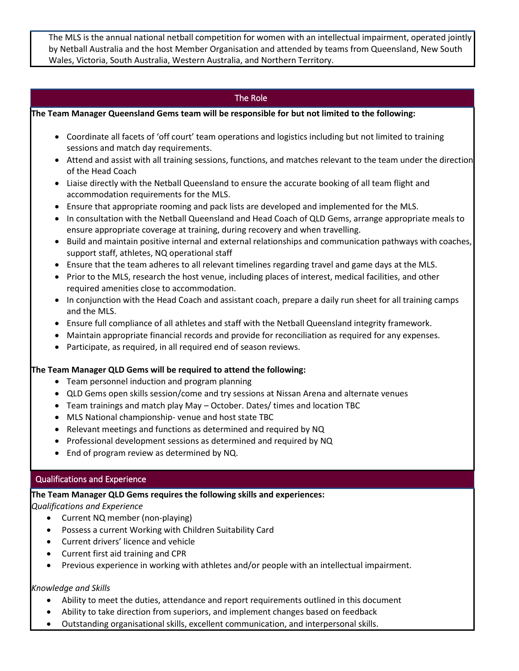The MLS is the annual national netball competition for women with an intellectual impairment, operated jointly by Netball Australia and the host Member Organisation and attended by teams from Queensland, New South Wales, Victoria, South Australia, Western Australia, and Northern Territory.

## The Role

**The Team Manager Queensland Gems team will be responsible for but not limited to the following:**

- Coordinate all facets of 'off court' team operations and logistics including but not limited to training sessions and match day requirements.
- Attend and assist with all training sessions, functions, and matches relevant to the team under the direction of the Head Coach
- Liaise directly with the Netball Queensland to ensure the accurate booking of all team flight and accommodation requirements for the MLS.
- Ensure that appropriate rooming and pack lists are developed and implemented for the MLS.
- In consultation with the Netball Queensland and Head Coach of QLD Gems, arrange appropriate meals to ensure appropriate coverage at training, during recovery and when travelling.
- Build and maintain positive internal and external relationships and communication pathways with coaches, support staff, athletes, NQ operational staff
- Ensure that the team adheres to all relevant timelines regarding travel and game days at the MLS.
- Prior to the MLS, research the host venue, including places of interest, medical facilities, and other required amenities close to accommodation.
- In conjunction with the Head Coach and assistant coach, prepare a daily run sheet for all training camps and the MLS.
- Ensure full compliance of all athletes and staff with the Netball Queensland integrity framework.
- Maintain appropriate financial records and provide for reconciliation as required for any expenses.
- Participate, as required, in all required end of season reviews.

#### **The Team Manager QLD Gems will be required to attend the following:**

- Team personnel induction and program planning
- QLD Gems open skills session/come and try sessions at Nissan Arena and alternate venues
- Team trainings and match play May October. Dates/ times and location TBC
- MLS National championship- venue and host state TBC
- Relevant meetings and functions as determined and required by NQ
- Professional development sessions as determined and required by NQ
- End of program review as determined by NQ.

#### Qualifications and Experience

**The Team Manager QLD Gems requires the following skills and experiences:**

*Qualifications and Experience*

- Current NQ member (non-playing)
- Possess a current Working with Children Suitability Card
- Current drivers' licence and vehicle
- Current first aid training and CPR
- Previous experience in working with athletes and/or people with an intellectual impairment.

#### *Knowledge and Skills*

- Ability to meet the duties, attendance and report requirements outlined in this document
- Ability to take direction from superiors, and implement changes based on feedback
- Outstanding organisational skills, excellent communication, and interpersonal skills.